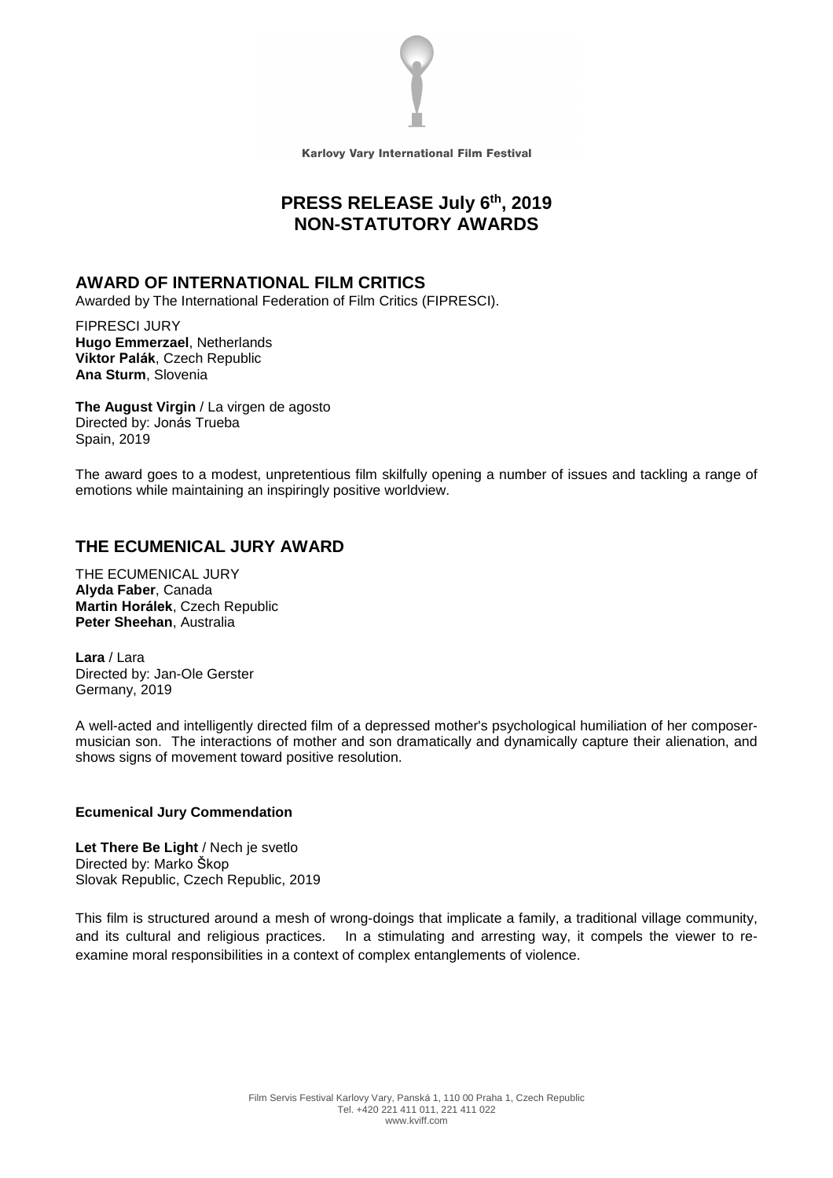

Karlovy Vary International Film Festival

# **PRESS RELEASE July 6 th , 2019 NON-STATUTORY AWARDS**

## **AWARD OF INTERNATIONAL FILM CRITICS**

Awarded by The International Federation of Film Critics (FIPRESCI).

FIPRESCI JURY **Hugo Emmerzael**, Netherlands **Viktor Palák**, Czech Republic **Ana Sturm**, Slovenia

**The August Virgin** / La virgen de agosto Directed by: Jonás Trueba Spain, 2019

The award goes to a modest, unpretentious film skilfully opening a number of issues and tackling a range of emotions while maintaining an inspiringly positive worldview.

## **THE ECUMENICAL JURY AWARD**

THE ECUMENICAL JURY **Alyda Faber**, Canada **Martin Horálek**, Czech Republic **Peter Sheehan**, Australia

**Lara** / Lara Directed by: Jan-Ole Gerster Germany, 2019

A well-acted and intelligently directed film of a depressed mother's psychological humiliation of her composermusician son. The interactions of mother and son dramatically and dynamically capture their alienation, and shows signs of movement toward positive resolution.

## **Ecumenical Jury Commendation**

**Let There Be Light** / Nech je svetlo Directed by: Marko Škop Slovak Republic, Czech Republic, 2019

This film is structured around a mesh of wrong-doings that implicate a family, a traditional village community, and its cultural and religious practices. In a stimulating and arresting way, it compels the viewer to reexamine moral responsibilities in a context of complex entanglements of violence.